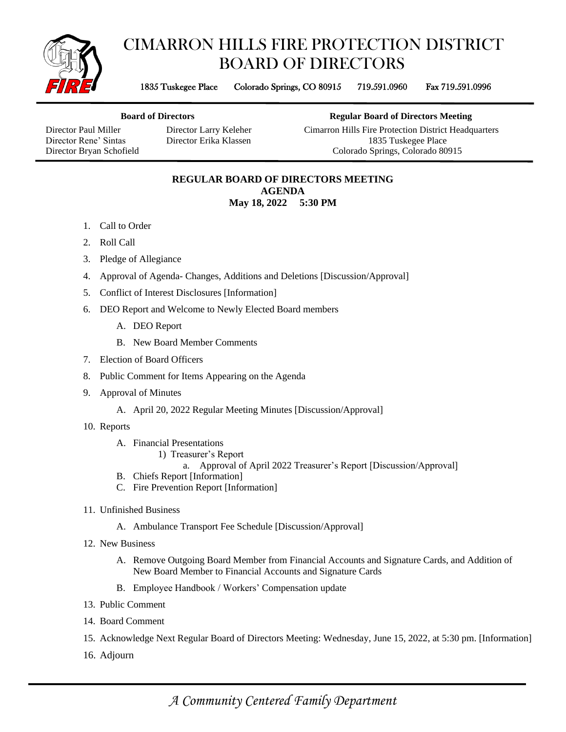

## CIMARRON HILLS FIRE PROTECTION DISTRICT BOARD OF DIRECTORS

1835 Tuskegee Place Colorado Springs, CO 80915 719.591.0960 Fax 719.591.0996

**Board of Directors Regular Board of Directors Meeting**

Director Paul Miller Director Larry Keleher Cimarron Hills Fire Protection District Headquarters Director Rene' Sintas Director Erika Klassen 1835 Tuskegee Place Director Bryan Schofield Colorado Springs, Colorado 80915

> **REGULAR BOARD OF DIRECTORS MEETING AGENDA May 18, 2022 5:30 PM**

- 1. Call to Order
- 2. Roll Call
- 3. Pledge of Allegiance
- 4. Approval of Agenda- Changes, Additions and Deletions [Discussion/Approval]
- 5. Conflict of Interest Disclosures [Information]
- 6. DEO Report and Welcome to Newly Elected Board members
	- A. DEO Report
	- B. New Board Member Comments
- 7. Election of Board Officers
- 8. Public Comment for Items Appearing on the Agenda
- 9. Approval of Minutes
	- A. April 20, 2022 Regular Meeting Minutes [Discussion/Approval]
- 10. Reports
	- A. Financial Presentations
		- 1) Treasurer's Report
			- a. Approval of April 2022 Treasurer's Report [Discussion/Approval]
	- B. Chiefs Report [Information]
	- C. Fire Prevention Report [Information]
- 11. Unfinished Business
	- A. Ambulance Transport Fee Schedule [Discussion/Approval]
- 12. New Business
	- A. Remove Outgoing Board Member from Financial Accounts and Signature Cards, and Addition of New Board Member to Financial Accounts and Signature Cards
	- B. Employee Handbook / Workers' Compensation update
- 13. Public Comment
- 14. Board Comment
- 15. Acknowledge Next Regular Board of Directors Meeting: Wednesday, June 15, 2022, at 5:30 pm. [Information]
- 16. Adjourn